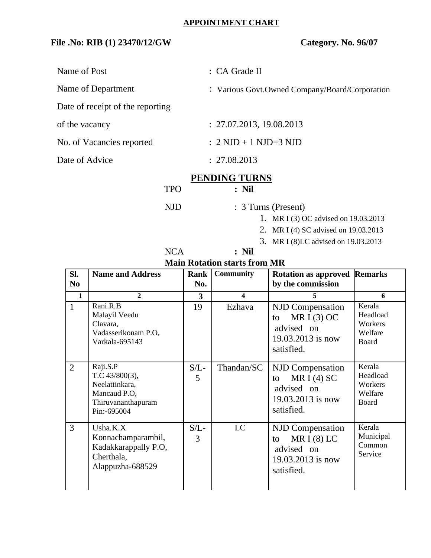## **File .No: RIB (1) 23470/12/GW Category. No. 96/07**

Name of Post  $\cdot$  CA Grade II

Name of Department : Various Govt.Owned Company/Board/Corporation

Date of receipt of the reporting

of the vacancy : 27.07.2013, 19.08.2013

No. of Vacancies reported : 2 NJD + 1 NJD=3 NJD

Date of Advice : 27.08.2013

## **PENDING TURNS**

TPO **: Nil**

- NJD : 3 Turns (Present)
	- 1. MR I (3) OC advised on 19.03.2013
	- 2. MR I (4) SC advised on 19.03.2013
	- 3. MR I (8)LC advised on 19.03.2013

| <b>NCA</b> | $:$ Nil                             |
|------------|-------------------------------------|
|            | <b>Main Rotation starts from MR</b> |

| SI.            | <b>Name and Address</b>                                                                              | Rank         | <b>Community</b>        |                                                                                                 |                                                          |
|----------------|------------------------------------------------------------------------------------------------------|--------------|-------------------------|-------------------------------------------------------------------------------------------------|----------------------------------------------------------|
|                |                                                                                                      |              |                         | <b>Rotation as approved Remarks</b>                                                             |                                                          |
| N <sub>0</sub> |                                                                                                      | No.          |                         | by the commission                                                                               |                                                          |
| $\mathbf{1}$   | $\overline{2}$                                                                                       | 3            | $\overline{\mathbf{4}}$ | 5                                                                                               | 6                                                        |
| $\mathbf{1}$   | Rani.R.B<br>Malayil Veedu<br>Clavara,<br>Vadasserikonam P.O,<br>Varkala-695143                       | 19           | Ezhava                  | <b>NJD Compensation</b><br>MR I $(3)$ OC<br>to<br>advised on<br>19.03.2013 is now<br>satisfied. | Kerala<br>Headload<br>Workers<br>Welfare<br><b>Board</b> |
| $\overline{2}$ | Raji.S.P<br>T.C $43/800(3)$ ,<br>Neelattinkara,<br>Mancaud P.O,<br>Thiruvananthapuram<br>Pin:-695004 | $S/L$ -<br>5 | Thandan/SC              | <b>NJD Compensation</b><br>MR I $(4)$ SC<br>to<br>advised on<br>19.03.2013 is now<br>satisfied. | Kerala<br>Headload<br>Workers<br>Welfare<br><b>Board</b> |
| 3              | $U$ sha. $K.X$<br>Konnachamparambil,<br>Kadakkarappally P.O,<br>Cherthala,<br>Alappuzha-688529       | $S/L$ -<br>3 | LC                      | <b>NJD Compensation</b><br>MR $I(8)$ LC<br>to<br>advised on<br>19.03.2013 is now<br>satisfied.  | Kerala<br>Municipal<br>Common<br>Service                 |